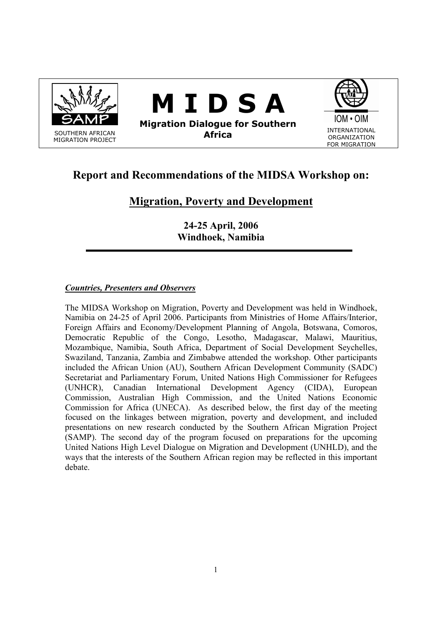

# **Report and Recommendations of the MIDSA Workshop on:**

## **Migration, Poverty and Development**

**24-25 April, 2006 Windhoek, Namibia** 

### *Countries, Presenters and Observers*

The MIDSA Workshop on Migration, Poverty and Development was held in Windhoek, Namibia on 24-25 of April 2006. Participants from Ministries of Home Affairs/Interior, Foreign Affairs and Economy/Development Planning of Angola, Botswana, Comoros, Democratic Republic of the Congo, Lesotho, Madagascar, Malawi, Mauritius, Mozambique, Namibia, South Africa, Department of Social Development Seychelles, Swaziland, Tanzania, Zambia and Zimbabwe attended the workshop. Other participants included the African Union (AU), Southern African Development Community (SADC) Secretariat and Parliamentary Forum, United Nations High Commissioner for Refugees (UNHCR), Canadian International Development Agency (CIDA), European Commission, Australian High Commission, and the United Nations Economic Commission for Africa (UNECA). As described below, the first day of the meeting focused on the linkages between migration, poverty and development, and included presentations on new research conducted by the Southern African Migration Project (SAMP). The second day of the program focused on preparations for the upcoming United Nations High Level Dialogue on Migration and Development (UNHLD), and the ways that the interests of the Southern African region may be reflected in this important debate.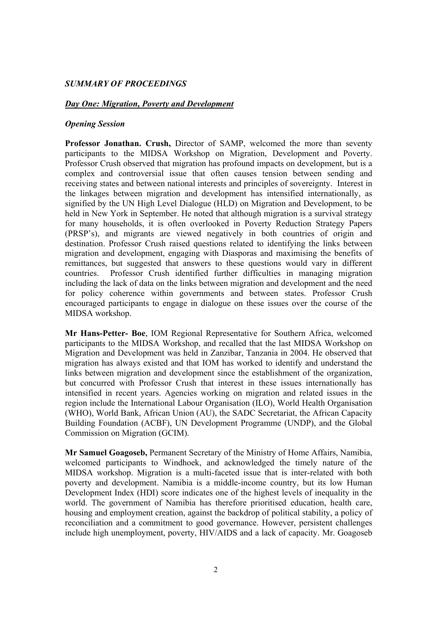#### *SUMMARY OF PROCEEDINGS*

#### *Day One: Migration, Poverty and Development*

#### *Opening Session*

**Professor Jonathan. Crush,** Director of SAMP, welcomed the more than seventy participants to the MIDSA Workshop on Migration, Development and Poverty. Professor Crush observed that migration has profound impacts on development, but is a complex and controversial issue that often causes tension between sending and receiving states and between national interests and principles of sovereignty. Interest in the linkages between migration and development has intensified internationally, as signified by the UN High Level Dialogue (HLD) on Migration and Development, to be held in New York in September. He noted that although migration is a survival strategy for many households, it is often overlooked in Poverty Reduction Strategy Papers (PRSP's), and migrants are viewed negatively in both countries of origin and destination. Professor Crush raised questions related to identifying the links between migration and development, engaging with Diasporas and maximising the benefits of remittances, but suggested that answers to these questions would vary in different countries. Professor Crush identified further difficulties in managing migration including the lack of data on the links between migration and development and the need for policy coherence within governments and between states. Professor Crush encouraged participants to engage in dialogue on these issues over the course of the MIDSA workshop.

**Mr Hans-Petter- Boe**, IOM Regional Representative for Southern Africa, welcomed participants to the MIDSA Workshop, and recalled that the last MIDSA Workshop on Migration and Development was held in Zanzibar, Tanzania in 2004. He observed that migration has always existed and that IOM has worked to identify and understand the links between migration and development since the establishment of the organization, but concurred with Professor Crush that interest in these issues internationally has intensified in recent years. Agencies working on migration and related issues in the region include the International Labour Organisation (ILO), World Health Organisation (WHO), World Bank, African Union (AU), the SADC Secretariat, the African Capacity Building Foundation (ACBF), UN Development Programme (UNDP), and the Global Commission on Migration (GCIM).

**Mr Samuel Goagoseb,** Permanent Secretary of the Ministry of Home Affairs, Namibia, welcomed participants to Windhoek, and acknowledged the timely nature of the MIDSA workshop. Migration is a multi-faceted issue that is inter-related with both poverty and development. Namibia is a middle-income country, but its low Human Development Index (HDI) score indicates one of the highest levels of inequality in the world. The government of Namibia has therefore prioritised education, health care, housing and employment creation, against the backdrop of political stability, a policy of reconciliation and a commitment to good governance. However, persistent challenges include high unemployment, poverty, HIV/AIDS and a lack of capacity. Mr. Goagoseb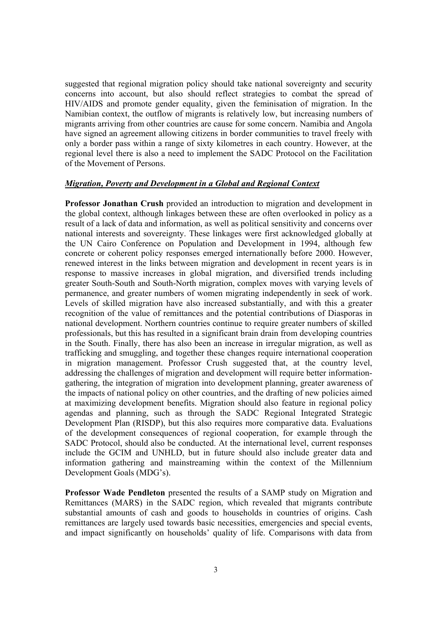suggested that regional migration policy should take national sovereignty and security concerns into account, but also should reflect strategies to combat the spread of HIV/AIDS and promote gender equality, given the feminisation of migration. In the Namibian context, the outflow of migrants is relatively low, but increasing numbers of migrants arriving from other countries are cause for some concern. Namibia and Angola have signed an agreement allowing citizens in border communities to travel freely with only a border pass within a range of sixty kilometres in each country. However, at the regional level there is also a need to implement the SADC Protocol on the Facilitation of the Movement of Persons.

#### *Migration, Poverty and Development in a Global and Regional Context*

**Professor Jonathan Crush** provided an introduction to migration and development in the global context, although linkages between these are often overlooked in policy as a result of a lack of data and information, as well as political sensitivity and concerns over national interests and sovereignty. These linkages were first acknowledged globally at the UN Cairo Conference on Population and Development in 1994, although few concrete or coherent policy responses emerged internationally before 2000. However, renewed interest in the links between migration and development in recent years is in response to massive increases in global migration, and diversified trends including greater South-South and South-North migration, complex moves with varying levels of permanence, and greater numbers of women migrating independently in seek of work. Levels of skilled migration have also increased substantially, and with this a greater recognition of the value of remittances and the potential contributions of Diasporas in national development. Northern countries continue to require greater numbers of skilled professionals, but this has resulted in a significant brain drain from developing countries in the South. Finally, there has also been an increase in irregular migration, as well as trafficking and smuggling, and together these changes require international cooperation in migration management. Professor Crush suggested that, at the country level, addressing the challenges of migration and development will require better informationgathering, the integration of migration into development planning, greater awareness of the impacts of national policy on other countries, and the drafting of new policies aimed at maximizing development benefits. Migration should also feature in regional policy agendas and planning, such as through the SADC Regional Integrated Strategic Development Plan (RISDP), but this also requires more comparative data. Evaluations of the development consequences of regional cooperation, for example through the SADC Protocol, should also be conducted. At the international level, current responses include the GCIM and UNHLD, but in future should also include greater data and information gathering and mainstreaming within the context of the Millennium Development Goals (MDG's).

**Professor Wade Pendleton** presented the results of a SAMP study on Migration and Remittances (MARS) in the SADC region, which revealed that migrants contribute substantial amounts of cash and goods to households in countries of origins. Cash remittances are largely used towards basic necessities, emergencies and special events, and impact significantly on households' quality of life. Comparisons with data from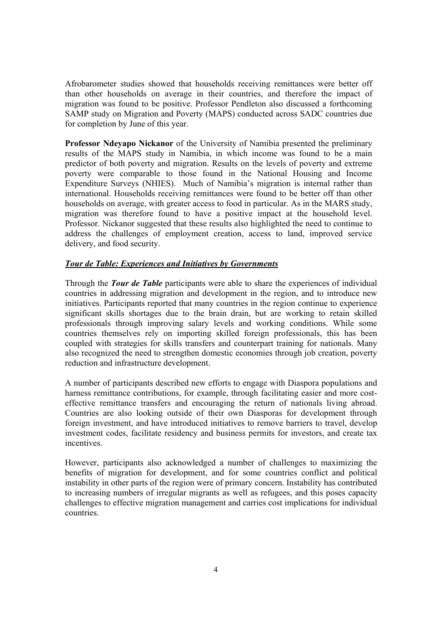Afrobarometer studies showed that households receiving remittances were better off than other households on average in their countries, and therefore the impact of migration was found to be positive. Professor Pendleton also discussed a forthcoming SAMP study on Migration and Poverty (MAPS) conducted across SADC countries due for completion by June of this year.

**Professor Ndeyapo Nickanor** of the University of Namibia presented the preliminary results of the MAPS study in Namibia, in which income was found to be a main predictor of both poverty and migration. Results on the levels of poverty and extreme poverty were comparable to those found in the National Housing and Income Expenditure Surveys (NHIES). Much of Namibia's migration is internal rather than international. Households receiving remittances were found to be better off than other households on average, with greater access to food in particular. As in the MARS study, migration was therefore found to have a positive impact at the household level. Professor. Nickanor suggested that these results also highlighted the need to continue to address the challenges of employment creation, access to land, improved service delivery, and food security.

### *Tour de Table: Experiences and Initiatives by Governments*

Through the *Tour de Table* participants were able to share the experiences of individual countries in addressing migration and development in the region, and to introduce new initiatives. Participants reported that many countries in the region continue to experience significant skills shortages due to the brain drain, but are working to retain skilled professionals through improving salary levels and working conditions. While some countries themselves rely on importing skilled foreign professionals, this has been coupled with strategies for skills transfers and counterpart training for nationals. Many also recognized the need to strengthen domestic economies through job creation, poverty reduction and infrastructure development.

A number of participants described new efforts to engage with Diaspora populations and harness remittance contributions, for example, through facilitating easier and more costeffective remittance transfers and encouraging the return of nationals living abroad. Countries are also looking outside of their own Diasporas for development through foreign investment, and have introduced initiatives to remove barriers to travel, develop investment codes, facilitate residency and business permits for investors, and create tax incentives.

However, participants also acknowledged a number of challenges to maximizing the benefits of migration for development, and for some countries conflict and political instability in other parts of the region were of primary concern. Instability has contributed to increasing numbers of irregular migrants as well as refugees, and this poses capacity challenges to effective migration management and carries cost implications for individual countries.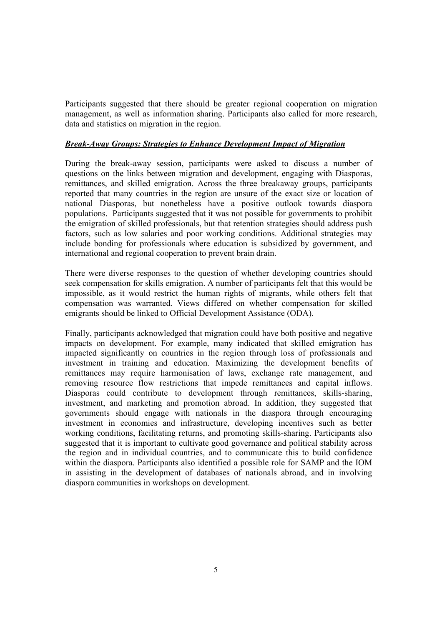Participants suggested that there should be greater regional cooperation on migration management, as well as information sharing. Participants also called for more research, data and statistics on migration in the region.

### *Break-Away Groups: Strategies to Enhance Development Impact of Migration*

During the break-away session, participants were asked to discuss a number of questions on the links between migration and development, engaging with Diasporas, remittances, and skilled emigration. Across the three breakaway groups, participants reported that many countries in the region are unsure of the exact size or location of national Diasporas, but nonetheless have a positive outlook towards diaspora populations. Participants suggested that it was not possible for governments to prohibit the emigration of skilled professionals, but that retention strategies should address push factors, such as low salaries and poor working conditions. Additional strategies may include bonding for professionals where education is subsidized by government, and international and regional cooperation to prevent brain drain.

There were diverse responses to the question of whether developing countries should seek compensation for skills emigration. A number of participants felt that this would be impossible, as it would restrict the human rights of migrants, while others felt that compensation was warranted. Views differed on whether compensation for skilled emigrants should be linked to Official Development Assistance (ODA).

Finally, participants acknowledged that migration could have both positive and negative impacts on development. For example, many indicated that skilled emigration has impacted significantly on countries in the region through loss of professionals and investment in training and education. Maximizing the development benefits of remittances may require harmonisation of laws, exchange rate management, and removing resource flow restrictions that impede remittances and capital inflows. Diasporas could contribute to development through remittances, skills-sharing, investment, and marketing and promotion abroad. In addition, they suggested that governments should engage with nationals in the diaspora through encouraging investment in economies and infrastructure, developing incentives such as better working conditions, facilitating returns, and promoting skills-sharing. Participants also suggested that it is important to cultivate good governance and political stability across the region and in individual countries, and to communicate this to build confidence within the diaspora. Participants also identified a possible role for SAMP and the IOM in assisting in the development of databases of nationals abroad, and in involving diaspora communities in workshops on development.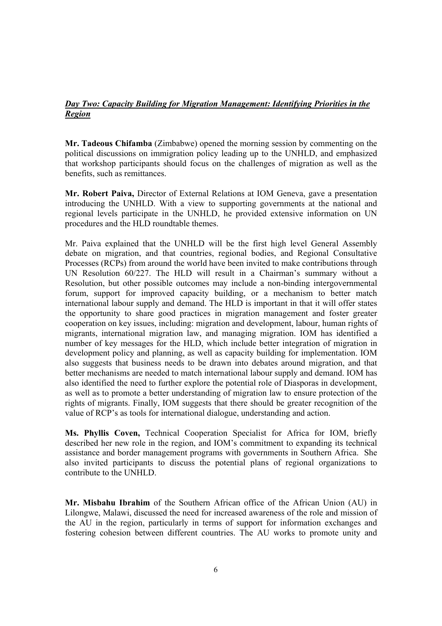## *Day Two: Capacity Building for Migration Management: Identifying Priorities in the Region*

**Mr. Tadeous Chifamba** (Zimbabwe) opened the morning session by commenting on the political discussions on immigration policy leading up to the UNHLD, and emphasized that workshop participants should focus on the challenges of migration as well as the benefits, such as remittances.

**Mr. Robert Paiva,** Director of External Relations at IOM Geneva, gave a presentation introducing the UNHLD. With a view to supporting governments at the national and regional levels participate in the UNHLD, he provided extensive information on UN procedures and the HLD roundtable themes.

Mr. Paiva explained that the UNHLD will be the first high level General Assembly debate on migration, and that countries, regional bodies, and Regional Consultative Processes (RCPs) from around the world have been invited to make contributions through UN Resolution 60/227. The HLD will result in a Chairman's summary without a Resolution, but other possible outcomes may include a non-binding intergovernmental forum, support for improved capacity building, or a mechanism to better match international labour supply and demand. The HLD is important in that it will offer states the opportunity to share good practices in migration management and foster greater cooperation on key issues, including: migration and development, labour, human rights of migrants, international migration law, and managing migration. IOM has identified a number of key messages for the HLD, which include better integration of migration in development policy and planning, as well as capacity building for implementation. IOM also suggests that business needs to be drawn into debates around migration, and that better mechanisms are needed to match international labour supply and demand. IOM has also identified the need to further explore the potential role of Diasporas in development, as well as to promote a better understanding of migration law to ensure protection of the rights of migrants. Finally, IOM suggests that there should be greater recognition of the value of RCP's as tools for international dialogue, understanding and action.

**Ms. Phyllis Coven,** Technical Cooperation Specialist for Africa for IOM, briefly described her new role in the region, and IOM's commitment to expanding its technical assistance and border management programs with governments in Southern Africa. She also invited participants to discuss the potential plans of regional organizations to contribute to the UNHLD.

**Mr. Misbahu Ibrahim** of the Southern African office of the African Union (AU) in Lilongwe, Malawi, discussed the need for increased awareness of the role and mission of the AU in the region, particularly in terms of support for information exchanges and fostering cohesion between different countries. The AU works to promote unity and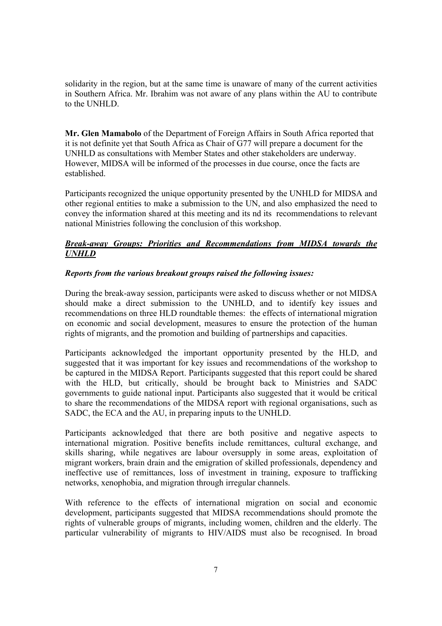solidarity in the region, but at the same time is unaware of many of the current activities in Southern Africa. Mr. Ibrahim was not aware of any plans within the AU to contribute to the UNHLD.

**Mr. Glen Mamabolo** of the Department of Foreign Affairs in South Africa reported that it is not definite yet that South Africa as Chair of G77 will prepare a document for the UNHLD as consultations with Member States and other stakeholders are underway. However, MIDSA will be informed of the processes in due course, once the facts are established.

Participants recognized the unique opportunity presented by the UNHLD for MIDSA and other regional entities to make a submission to the UN, and also emphasized the need to convey the information shared at this meeting and its nd its recommendations to relevant national Ministries following the conclusion of this workshop.

## *Break-away Groups: Priorities and Recommendations from MIDSA towards the UNHLD*

### *Reports from the various breakout groups raised the following issues:*

During the break-away session, participants were asked to discuss whether or not MIDSA should make a direct submission to the UNHLD, and to identify key issues and recommendations on three HLD roundtable themes: the effects of international migration on economic and social development, measures to ensure the protection of the human rights of migrants, and the promotion and building of partnerships and capacities.

Participants acknowledged the important opportunity presented by the HLD, and suggested that it was important for key issues and recommendations of the workshop to be captured in the MIDSA Report. Participants suggested that this report could be shared with the HLD, but critically, should be brought back to Ministries and SADC governments to guide national input. Participants also suggested that it would be critical to share the recommendations of the MIDSA report with regional organisations, such as SADC, the ECA and the AU, in preparing inputs to the UNHLD.

Participants acknowledged that there are both positive and negative aspects to international migration. Positive benefits include remittances, cultural exchange, and skills sharing, while negatives are labour oversupply in some areas, exploitation of migrant workers, brain drain and the emigration of skilled professionals, dependency and ineffective use of remittances, loss of investment in training, exposure to trafficking networks, xenophobia, and migration through irregular channels.

With reference to the effects of international migration on social and economic development, participants suggested that MIDSA recommendations should promote the rights of vulnerable groups of migrants, including women, children and the elderly. The particular vulnerability of migrants to HIV/AIDS must also be recognised. In broad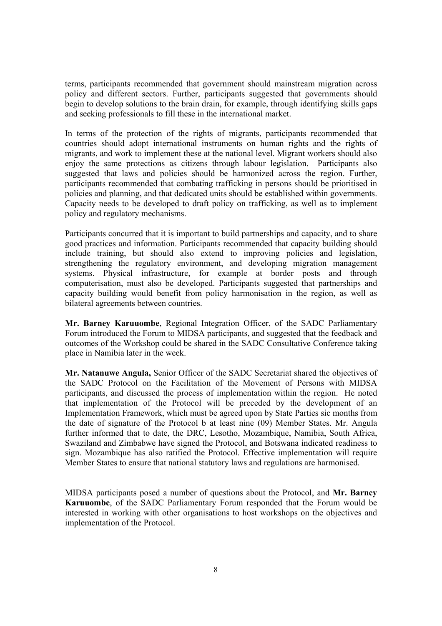terms, participants recommended that government should mainstream migration across policy and different sectors. Further, participants suggested that governments should begin to develop solutions to the brain drain, for example, through identifying skills gaps and seeking professionals to fill these in the international market.

In terms of the protection of the rights of migrants, participants recommended that countries should adopt international instruments on human rights and the rights of migrants, and work to implement these at the national level. Migrant workers should also enjoy the same protections as citizens through labour legislation. Participants also suggested that laws and policies should be harmonized across the region. Further, participants recommended that combating trafficking in persons should be prioritised in policies and planning, and that dedicated units should be established within governments. Capacity needs to be developed to draft policy on trafficking, as well as to implement policy and regulatory mechanisms.

Participants concurred that it is important to build partnerships and capacity, and to share good practices and information. Participants recommended that capacity building should include training, but should also extend to improving policies and legislation, strengthening the regulatory environment, and developing migration management systems. Physical infrastructure, for example at border posts and through computerisation, must also be developed. Participants suggested that partnerships and capacity building would benefit from policy harmonisation in the region, as well as bilateral agreements between countries.

**Mr. Barney Karuuombe**, Regional Integration Officer, of the SADC Parliamentary Forum introduced the Forum to MIDSA participants, and suggested that the feedback and outcomes of the Workshop could be shared in the SADC Consultative Conference taking place in Namibia later in the week.

**Mr. Natanuwe Angula,** Senior Officer of the SADC Secretariat shared the objectives of the SADC Protocol on the Facilitation of the Movement of Persons with MIDSA participants, and discussed the process of implementation within the region. He noted that implementation of the Protocol will be preceded by the development of an Implementation Framework, which must be agreed upon by State Parties sic months from the date of signature of the Protocol b at least nine (09) Member States. Mr. Angula further informed that to date, the DRC, Lesotho, Mozambique, Namibia, South Africa, Swaziland and Zimbabwe have signed the Protocol, and Botswana indicated readiness to sign. Mozambique has also ratified the Protocol. Effective implementation will require Member States to ensure that national statutory laws and regulations are harmonised.

MIDSA participants posed a number of questions about the Protocol, and **Mr. Barney Karuuombe**, of the SADC Parliamentary Forum responded that the Forum would be interested in working with other organisations to host workshops on the objectives and implementation of the Protocol.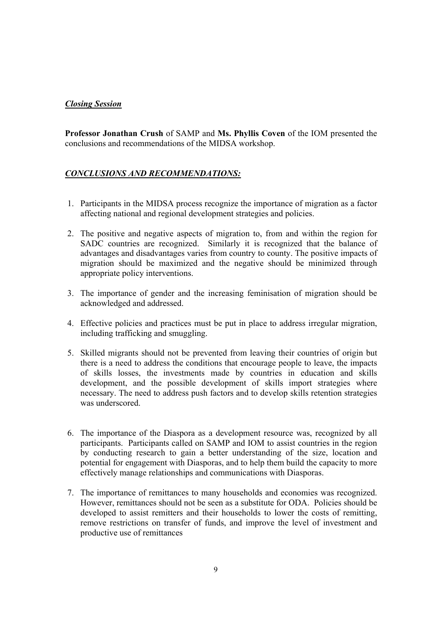### *Closing Session*

**Professor Jonathan Crush** of SAMP and **Ms. Phyllis Coven** of the IOM presented the conclusions and recommendations of the MIDSA workshop.

## *CONCLUSIONS AND RECOMMENDATIONS:*

- 1. Participants in the MIDSA process recognize the importance of migration as a factor affecting national and regional development strategies and policies.
- 2. The positive and negative aspects of migration to, from and within the region for SADC countries are recognized. Similarly it is recognized that the balance of advantages and disadvantages varies from country to county. The positive impacts of migration should be maximized and the negative should be minimized through appropriate policy interventions.
- 3. The importance of gender and the increasing feminisation of migration should be acknowledged and addressed.
- 4. Effective policies and practices must be put in place to address irregular migration, including trafficking and smuggling.
- 5. Skilled migrants should not be prevented from leaving their countries of origin but there is a need to address the conditions that encourage people to leave, the impacts of skills losses, the investments made by countries in education and skills development, and the possible development of skills import strategies where necessary. The need to address push factors and to develop skills retention strategies was underscored.
- 6. The importance of the Diaspora as a development resource was, recognized by all participants. Participants called on SAMP and IOM to assist countries in the region by conducting research to gain a better understanding of the size, location and potential for engagement with Diasporas, and to help them build the capacity to more effectively manage relationships and communications with Diasporas.
- 7. The importance of remittances to many households and economies was recognized. However, remittances should not be seen as a substitute for ODA. Policies should be developed to assist remitters and their households to lower the costs of remitting, remove restrictions on transfer of funds, and improve the level of investment and productive use of remittances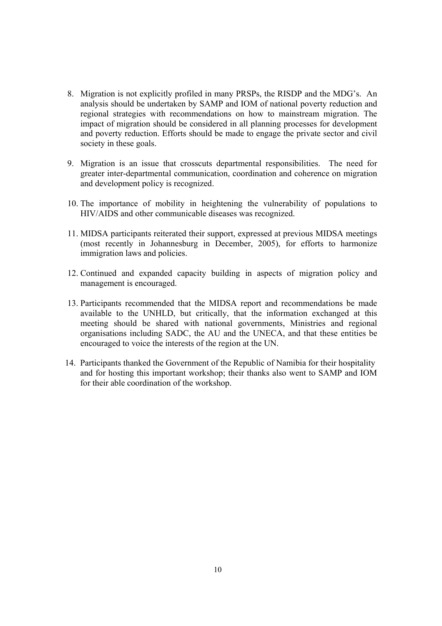- 8. Migration is not explicitly profiled in many PRSPs, the RISDP and the MDG's. An analysis should be undertaken by SAMP and IOM of national poverty reduction and regional strategies with recommendations on how to mainstream migration. The impact of migration should be considered in all planning processes for development and poverty reduction. Efforts should be made to engage the private sector and civil society in these goals.
- 9. Migration is an issue that crosscuts departmental responsibilities. The need for greater inter-departmental communication, coordination and coherence on migration and development policy is recognized.
- 10. The importance of mobility in heightening the vulnerability of populations to HIV/AIDS and other communicable diseases was recognized.
- 11. MIDSA participants reiterated their support, expressed at previous MIDSA meetings (most recently in Johannesburg in December, 2005), for efforts to harmonize immigration laws and policies.
- 12. Continued and expanded capacity building in aspects of migration policy and management is encouraged.
- 13. Participants recommended that the MIDSA report and recommendations be made available to the UNHLD, but critically, that the information exchanged at this meeting should be shared with national governments, Ministries and regional organisations including SADC, the AU and the UNECA, and that these entities be encouraged to voice the interests of the region at the UN.
- 14. Participants thanked the Government of the Republic of Namibia for their hospitality and for hosting this important workshop; their thanks also went to SAMP and IOM for their able coordination of the workshop.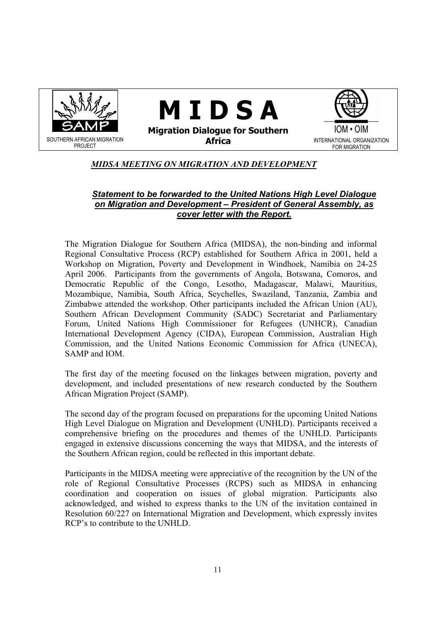

## *MIDSA MEETING ON MIGRATION AND DEVELOPMENT*

#### *Statement to be forwarded to the United Nations High Level Dialogue on Migration and Development – President of General Assembly, as cover letter with the Report.*

The Migration Dialogue for Southern Africa (MIDSA), the non-binding and informal Regional Consultative Process (RCP) established for Southern Africa in 2001, held a Workshop on Migration, Poverty and Development in Windhoek, Namibia on 24-25 April 2006. Participants from the governments of Angola, Botswana, Comoros, and Democratic Republic of the Congo, Lesotho, Madagascar, Malawi, Mauritius, Mozambique, Namibia, South Africa, Seychelles, Swaziland, Tanzania, Zambia and Zimbabwe attended the workshop. Other participants included the African Union (AU), Southern African Development Community (SADC) Secretariat and Parliamentary Forum, United Nations High Commissioner for Refugees (UNHCR), Canadian International Development Agency (CIDA), European Commission, Australian High Commission, and the United Nations Economic Commission for Africa (UNECA), SAMP and IOM.

The first day of the meeting focused on the linkages between migration, poverty and development, and included presentations of new research conducted by the Southern African Migration Project (SAMP).

The second day of the program focused on preparations for the upcoming United Nations High Level Dialogue on Migration and Development (UNHLD). Participants received a comprehensive briefing on the procedures and themes of the UNHLD. Participants engaged in extensive discussions concerning the ways that MIDSA, and the interests of the Southern African region, could be reflected in this important debate.

Participants in the MIDSA meeting were appreciative of the recognition by the UN of the role of Regional Consultative Processes (RCPS) such as MIDSA in enhancing coordination and cooperation on issues of global migration. Participants also acknowledged, and wished to express thanks to the UN of the invitation contained in Resolution 60/227 on International Migration and Development, which expressly invites RCP's to contribute to the UNHLD.